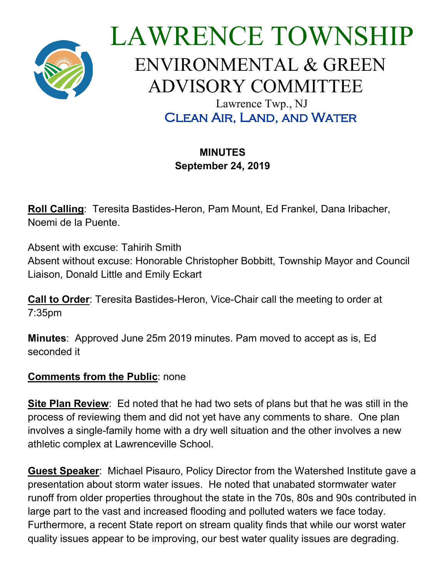

# LAWRENCE TOWNSHIP ENVIRONMENTAL & GREEN ADVISORY COMMITTEE Lawrence Twp., NJ Clean Air, Land, and Water

# **MINUTES September 24, 2019**

**Roll Calling**: Teresita Bastides-Heron, Pam Mount, Ed Frankel, Dana Iribacher, Noemi de la Puente.

Absent with excuse: Tahirih Smith

Absent without excuse: Honorable Christopher Bobbitt, Township Mayor and Council Liaison, Donald Little and Emily Eckart

**Call to Order**: Teresita Bastides-Heron, Vice-Chair call the meeting to order at 7:35pm

**Minutes**: Approved June 25m 2019 minutes. Pam moved to accept as is, Ed seconded it

## **Comments from the Public: none**

**Site Plan Review**: Ed noted that he had two sets of plans but that he was still in the process of reviewing them and did not yet have any comments to share. One plan involves a single-family home with a dry well situation and the other involves a new athletic complex at Lawrenceville School.

**Guest Speaker**: Michael Pisauro, Policy Director from the Watershed Institute gave a presentation about storm water issues. He noted that unabated stormwater water runoff from older properties throughout the state in the 70s, 80s and 90s contributed in large part to the vast and increased flooding and polluted waters we face today. Furthermore, a recent State report on stream quality finds that while our worst water quality issues appear to be improving, our best water quality issues are degrading.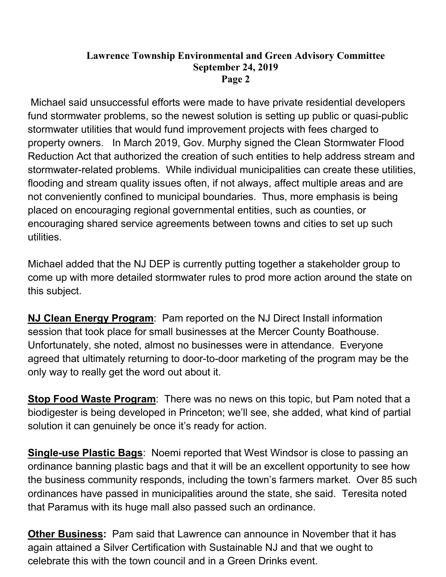### **Lawrence Township Environmental and Green Advisory Committee September 24, 2019 Page 2**

Michael said unsuccessful efforts were made to have private residential developers fund stormwater problems, so the newest solution is setting up public or quasi-public stormwater utilities that would fund improvement projects with fees charged to property owners. In March 2019, Gov. Murphy signed the Clean Stormwater Flood Reduction Act that authorized the creation of such entities to help address stream and stormwater-related problems. While individual municipalities can create these utilities, flooding and stream quality issues often, if not always, affect multiple areas and are not conveniently confined to municipal boundaries. Thus, more emphasis is being placed on encouraging regional governmental entities, such as counties, or encouraging shared service agreements between towns and cities to set up such utilities.

Michael added that the NJ DEP is currently putting together a stakeholder group to come up with more detailed stormwater rules to prod more action around the state on this subject.

**NJ Clean Energy Program**: Pam reported on the NJ Direct Install information session that took place for small businesses at the Mercer County Boathouse. Unfortunately, she noted, almost no businesses were in attendance. Everyone agreed that ultimately returning to door-to-door marketing of the program may be the only way to really get the word out about it.

**Stop Food Waste Program**: There was no news on this topic, but Pam noted that a biodigester is being developed in Princeton; we'll see, she added, what kind of partial solution it can genuinely be once it's ready for action.

**Single-use Plastic Bags**: Noemi reported that West Windsor is close to passing an ordinance banning plastic bags and that it will be an excellent opportunity to see how the business community responds, including the town's farmers market. Over 85 such ordinances have passed in municipalities around the state, she said. Teresita noted that Paramus with its huge mall also passed such an ordinance.

**Other Business:** Pam said that Lawrence can announce in November that it has again attained a Silver Certification with Sustainable NJ and that we ought to celebrate this with the town council and in a Green Drinks event.